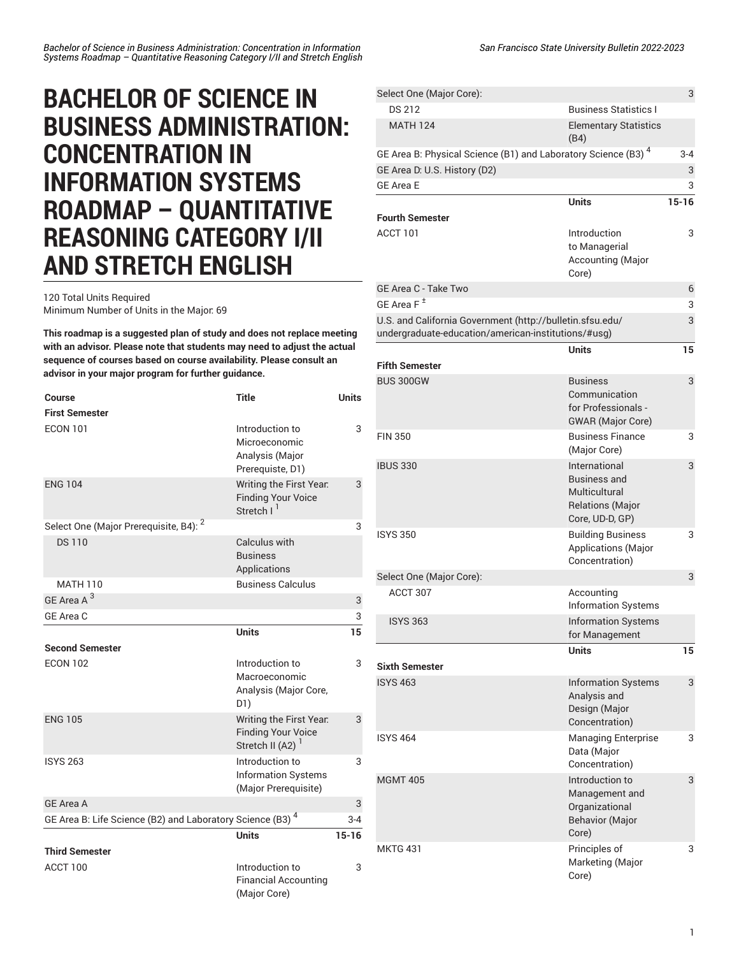## **BACHELOR OF SCIENCE IN BUSINESS ADMINISTRATION: CONCENTRATION IN INFORMATION SYSTEMS ROADMAP – QUANTITATIVE REASONING CATEGORY I/II AND STRETCH ENGLISH**

120 Total Units Required Minimum Number of Units in the Major: 69

**This roadmap is a suggested plan of study and does not replace meeting with an advisor. Please note that students may need to adjust the actual sequence of courses based on course availability. Please consult an advisor in your major program for further guidance.**

| Course                                                        | <b>Title</b>                                                                         | <b>Units</b> |
|---------------------------------------------------------------|--------------------------------------------------------------------------------------|--------------|
| <b>First Semester</b>                                         |                                                                                      |              |
| <b>ECON 101</b>                                               | Introduction to<br>Microeconomic<br>Analysis (Major<br>Prerequiste, D1)              | 3            |
| <b>ENG 104</b>                                                | Writing the First Year.<br><b>Finding Your Voice</b><br>Stretch I <sup>1</sup>       | 3            |
| Select One (Major Prerequisite, B4): <sup>2</sup>             |                                                                                      | 3            |
| <b>DS110</b>                                                  | Calculus with<br><b>Business</b><br>Applications                                     |              |
| <b>MATH 110</b>                                               | <b>Business Calculus</b>                                                             |              |
| GE Area A <sup>3</sup>                                        |                                                                                      | 3            |
| GE Area C                                                     |                                                                                      | 3            |
|                                                               | <b>Units</b>                                                                         | 15           |
| <b>Second Semester</b>                                        |                                                                                      |              |
| <b>ECON 102</b>                                               | Introduction to<br>Macroeconomic<br>Analysis (Major Core,<br>D1)                     | 3            |
| <b>ENG 105</b>                                                | Writing the First Year.<br><b>Finding Your Voice</b><br>Stretch II (A2) <sup>1</sup> | 3            |
| <b>ISYS 263</b>                                               | Introduction to<br><b>Information Systems</b><br>(Major Prerequisite)                | 3            |
| <b>GE Area A</b>                                              |                                                                                      | 3            |
| GE Area B: Life Science (B2) and Laboratory Science (B3) $^4$ |                                                                                      | 3-4          |
|                                                               | <b>Units</b>                                                                         | $15 - 16$    |
| <b>Third Semester</b>                                         |                                                                                      |              |
| ACCT 100                                                      | Introduction to<br><b>Financial Accounting</b><br>(Major Core)                       | 3            |

| Select One (Major Core):                                                                                         |                                                                                                     | 3            |
|------------------------------------------------------------------------------------------------------------------|-----------------------------------------------------------------------------------------------------|--------------|
| <b>DS 212</b>                                                                                                    | <b>Business Statistics I</b>                                                                        |              |
| <b>MATH 124</b>                                                                                                  | <b>Elementary Statistics</b><br>(B4)                                                                |              |
| GE Area B: Physical Science (B1) and Laboratory Science (B3) <sup>4</sup><br>GE Area D: U.S. History (D2)        |                                                                                                     | $3 - 4$<br>3 |
| <b>GE Area E</b>                                                                                                 |                                                                                                     | 3            |
|                                                                                                                  | <b>Units</b>                                                                                        | $15 - 16$    |
| <b>Fourth Semester</b>                                                                                           |                                                                                                     |              |
| ACCT 101                                                                                                         | Introduction<br>to Managerial<br><b>Accounting (Major</b><br>Core)                                  | 3            |
| GE Area C - Take Two                                                                                             |                                                                                                     | 6            |
| GE Area F <sup>±</sup>                                                                                           |                                                                                                     | 3            |
| U.S. and California Government (http://bulletin.sfsu.edu/<br>undergraduate-education/american-institutions/#usg) |                                                                                                     | 3            |
| <b>Fifth Semester</b>                                                                                            | <b>Units</b>                                                                                        | 15           |
| <b>BUS 300GW</b>                                                                                                 | <b>Business</b><br>Communication<br>for Professionals -<br><b>GWAR</b> (Major Core)                 | 3            |
| <b>FIN 350</b>                                                                                                   | <b>Business Finance</b><br>(Major Core)                                                             | 3            |
| <b>IBUS 330</b>                                                                                                  | International<br><b>Business and</b><br>Multicultural<br><b>Relations (Major</b><br>Core, UD-D, GP) | 3            |
| <b>ISYS 350</b>                                                                                                  | <b>Building Business</b><br>Applications (Major<br>Concentration)                                   | 3            |
| Select One (Major Core):                                                                                         |                                                                                                     | 3            |
| ACCT 307                                                                                                         | Accounting<br><b>Information Systems</b>                                                            |              |
| <b>ISYS 363</b>                                                                                                  | <b>Information Systems</b><br>for Management                                                        |              |
| <b>Sixth Semester</b>                                                                                            | <b>Units</b>                                                                                        | 15           |
| <b>ISYS 463</b>                                                                                                  | <b>Information Systems</b><br>Analysis and<br>Design (Major<br>Concentration)                       | 3            |
| <b>ISYS 464</b>                                                                                                  | <b>Managing Enterprise</b><br>Data (Major<br>Concentration)                                         | 3            |
| <b>MGMT 405</b>                                                                                                  | Introduction to<br>Management and<br>Organizational<br><b>Behavior (Major</b><br>Core)              | 3            |
| <b>MKTG 431</b>                                                                                                  | Principles of<br>Marketing (Major<br>Core)                                                          | 3            |